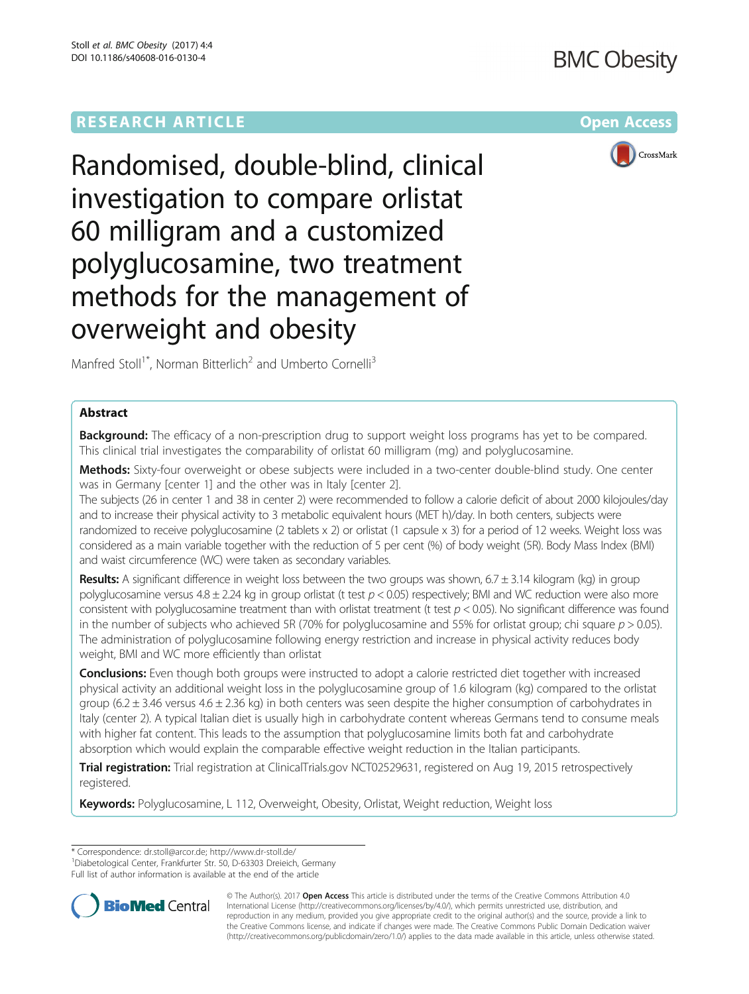# **RESEARCH ARTICLE Example 2014 12:30 The Contract of Contract ACCESS**



Randomised, double-blind, clinical investigation to compare orlistat 60 milligram and a customized polyglucosamine, two treatment methods for the management of overweight and obesity

Manfred Stoll<sup>1\*</sup>, Norman Bitterlich<sup>2</sup> and Umberto Cornelli<sup>3</sup>

# Abstract

**Background:** The efficacy of a non-prescription drug to support weight loss programs has yet to be compared. This clinical trial investigates the comparability of orlistat 60 milligram (mg) and polyglucosamine.

Methods: Sixty-four overweight or obese subjects were included in a two-center double-blind study. One center was in Germany [center 1] and the other was in Italy [center 2].

The subjects (26 in center 1 and 38 in center 2) were recommended to follow a calorie deficit of about 2000 kilojoules/day and to increase their physical activity to 3 metabolic equivalent hours (MET h)/day. In both centers, subjects were randomized to receive polyglucosamine (2 tablets x 2) or orlistat (1 capsule x 3) for a period of 12 weeks. Weight loss was considered as a main variable together with the reduction of 5 per cent (%) of body weight (5R). Body Mass Index (BMI) and waist circumference (WC) were taken as secondary variables.

**Results:** A significant difference in weight loss between the two groups was shown,  $6.7 \pm 3.14$  kilogram (kg) in group polyglucosamine versus  $4.8 \pm 2.24$  kg in group orlistat (t test  $p < 0.05$ ) respectively; BMI and WC reduction were also more consistent with polyglucosamine treatment than with orlistat treatment (t test  $p < 0.05$ ). No significant difference was found in the number of subjects who achieved 5R (70% for polyglucosamine and 55% for orlistat group; chi square  $p > 0.05$ ). The administration of polyglucosamine following energy restriction and increase in physical activity reduces body weight, BMI and WC more efficiently than orlistat

Conclusions: Even though both groups were instructed to adopt a calorie restricted diet together with increased physical activity an additional weight loss in the polyglucosamine group of 1.6 kilogram (kg) compared to the orlistat group (6.2  $\pm$  3.46 versus 4.6  $\pm$  2.36 kg) in both centers was seen despite the higher consumption of carbohydrates in Italy (center 2). A typical Italian diet is usually high in carbohydrate content whereas Germans tend to consume meals with higher fat content. This leads to the assumption that polyglucosamine limits both fat and carbohydrate absorption which would explain the comparable effective weight reduction in the Italian participants.

Trial registration: Trial registration at ClinicalTrials.gov [NCT02529631](https://clinicaltrials.gov/ct2/show/NCT02529631?term=polyglucosamine&rank=1), registered on Aug 19, 2015 retrospectively registered.

Keywords: Polyglucosamine, L 112, Overweight, Obesity, Orlistat, Weight reduction, Weight loss

Full list of author information is available at the end of the article



© The Author(s). 2017 **Open Access** This article is distributed under the terms of the Creative Commons Attribution 4.0 International License [\(http://creativecommons.org/licenses/by/4.0/](http://creativecommons.org/licenses/by/4.0/)), which permits unrestricted use, distribution, and reproduction in any medium, provided you give appropriate credit to the original author(s) and the source, provide a link to the Creative Commons license, and indicate if changes were made. The Creative Commons Public Domain Dedication waiver [\(http://creativecommons.org/publicdomain/zero/1.0/](http://creativecommons.org/publicdomain/zero/1.0/)) applies to the data made available in this article, unless otherwise stated.

<sup>\*</sup> Correspondence: [dr.stoll@arcor.de](mailto:dr.stoll@arcor.de); <http://www.dr-stoll.de/> <sup>1</sup>

<sup>&</sup>lt;sup>1</sup> Diabetological Center, Frankfurter Str. 50, D-63303 Dreieich, Germany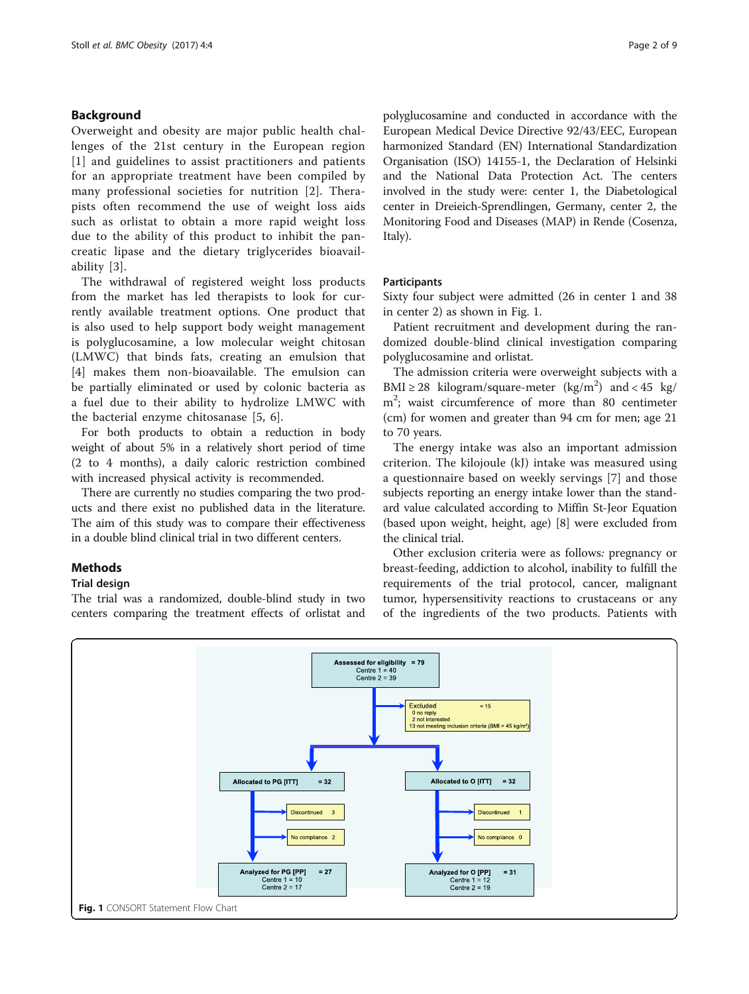# Background

Overweight and obesity are major public health challenges of the 21st century in the European region [[1](#page-8-0)] and guidelines to assist practitioners and patients for an appropriate treatment have been compiled by many professional societies for nutrition [[2](#page-8-0)]. Therapists often recommend the use of weight loss aids such as orlistat to obtain a more rapid weight loss due to the ability of this product to inhibit the pancreatic lipase and the dietary triglycerides bioavailability [[3](#page-8-0)].

The withdrawal of registered weight loss products from the market has led therapists to look for currently available treatment options. One product that is also used to help support body weight management is polyglucosamine, a low molecular weight chitosan (LMWC) that binds fats, creating an emulsion that [[4\]](#page-8-0) makes them non-bioavailable. The emulsion can be partially eliminated or used by colonic bacteria as a fuel due to their ability to hydrolize LMWC with the bacterial enzyme chitosanase [[5, 6\]](#page-8-0).

For both products to obtain a reduction in body weight of about 5% in a relatively short period of time (2 to 4 months), a daily caloric restriction combined with increased physical activity is recommended.

There are currently no studies comparing the two products and there exist no published data in the literature. The aim of this study was to compare their effectiveness in a double blind clinical trial in two different centers.

# **Methods**

## Trial design

The trial was a randomized, double-blind study in two centers comparing the treatment effects of orlistat and

polyglucosamine and conducted in accordance with the European Medical Device Directive 92/43/EEC, European harmonized Standard (EN) International Standardization Organisation (ISO) 14155-1, the Declaration of Helsinki and the National Data Protection Act. The centers involved in the study were: center 1, the Diabetological center in Dreieich-Sprendlingen, Germany, center 2, the Monitoring Food and Diseases (MAP) in Rende (Cosenza, Italy).

# Participants

Sixty four subject were admitted (26 in center 1 and 38 in center 2) as shown in Fig. 1.

Patient recruitment and development during the randomized double-blind clinical investigation comparing polyglucosamine and orlistat.

The admission criteria were overweight subjects with a BMI  $\geq$  28 kilogram/square-meter (kg/m<sup>2</sup>) and < 45 kg/ m2 ; waist circumference of more than 80 centimeter (cm) for women and greater than 94 cm for men; age 21 to 70 years.

The energy intake was also an important admission criterion. The kilojoule (kJ) intake was measured using a questionnaire based on weekly servings [[7\]](#page-8-0) and those subjects reporting an energy intake lower than the standard value calculated according to Miffin St-Jeor Equation (based upon weight, height, age) [\[8](#page-8-0)] were excluded from the clinical trial.

Other exclusion criteria were as follows: pregnancy or breast-feeding, addiction to alcohol, inability to fulfill the requirements of the trial protocol, cancer, malignant tumor, hypersensitivity reactions to crustaceans or any of the ingredients of the two products. Patients with

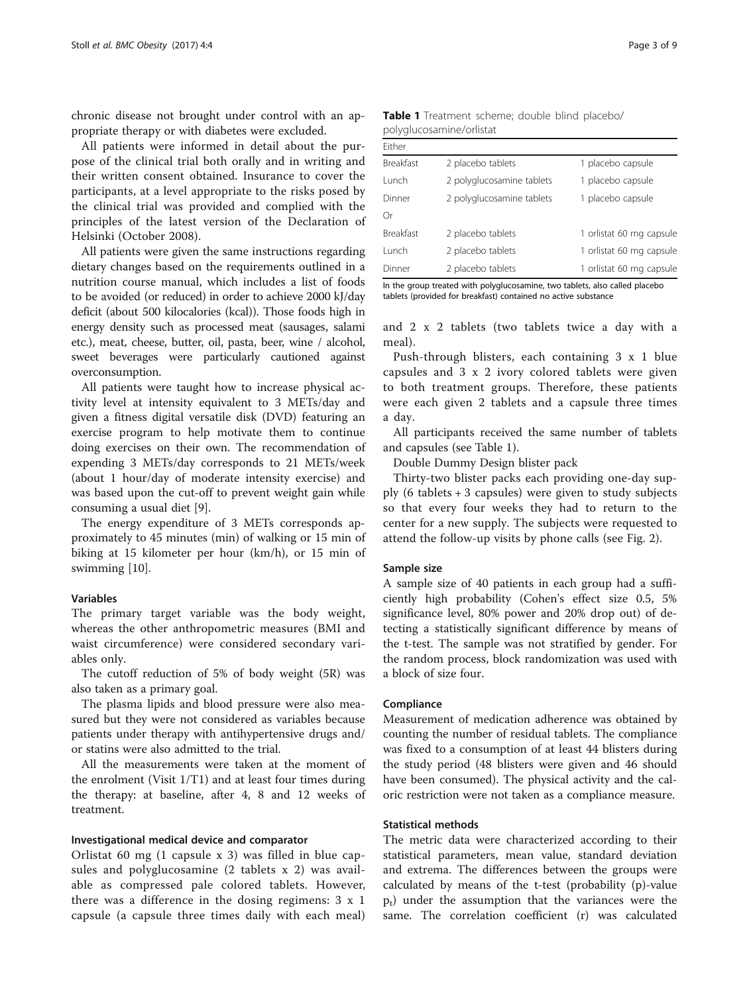chronic disease not brought under control with an appropriate therapy or with diabetes were excluded.

All patients were informed in detail about the purpose of the clinical trial both orally and in writing and their written consent obtained. Insurance to cover the participants, at a level appropriate to the risks posed by the clinical trial was provided and complied with the principles of the latest version of the Declaration of Helsinki (October 2008).

All patients were given the same instructions regarding dietary changes based on the requirements outlined in a nutrition course manual, which includes a list of foods to be avoided (or reduced) in order to achieve 2000 kJ/day deficit (about 500 kilocalories (kcal)). Those foods high in energy density such as processed meat (sausages, salami etc.), meat, cheese, butter, oil, pasta, beer, wine / alcohol, sweet beverages were particularly cautioned against overconsumption.

All patients were taught how to increase physical activity level at intensity equivalent to 3 METs/day and given a fitness digital versatile disk (DVD) featuring an exercise program to help motivate them to continue doing exercises on their own. The recommendation of expending 3 METs/day corresponds to 21 METs/week (about 1 hour/day of moderate intensity exercise) and was based upon the cut-off to prevent weight gain while consuming a usual diet [[9\]](#page-8-0).

The energy expenditure of 3 METs corresponds approximately to 45 minutes (min) of walking or 15 min of biking at 15 kilometer per hour (km/h), or 15 min of swimming [\[10\]](#page-8-0).

# Variables

The primary target variable was the body weight, whereas the other anthropometric measures (BMI and waist circumference) were considered secondary variables only.

The cutoff reduction of 5% of body weight (5R) was also taken as a primary goal.

The plasma lipids and blood pressure were also measured but they were not considered as variables because patients under therapy with antihypertensive drugs and/ or statins were also admitted to the trial.

All the measurements were taken at the moment of the enrolment (Visit 1/T1) and at least four times during the therapy: at baseline, after 4, 8 and 12 weeks of treatment.

#### Investigational medical device and comparator

Orlistat 60 mg (1 capsule x 3) was filled in blue capsules and polyglucosamine (2 tablets x 2) was available as compressed pale colored tablets. However, there was a difference in the dosing regimens: 3 x 1 capsule (a capsule three times daily with each meal)

| <b>Table 1</b> Treatment scheme; double blind placebo/ |  |  |
|--------------------------------------------------------|--|--|
| polyglucosamine/orlistat                               |  |  |

| 2 placebo tablets         | 1 placebo capsule        |
|---------------------------|--------------------------|
| 2 polyglucosamine tablets | 1 placebo capsule        |
| 2 polyglucosamine tablets | 1 placebo capsule        |
|                           |                          |
| 2 placebo tablets         | 1 orlistat 60 mg capsule |
| 2 placebo tablets         | 1 orlistat 60 mg capsule |
| 2 placebo tablets         | 1 orlistat 60 mg capsule |
|                           |                          |

In the group treated with polyglucosamine, two tablets, also called placebo tablets (provided for breakfast) contained no active substance

and 2 x 2 tablets (two tablets twice a day with a meal).

Push-through blisters, each containing 3 x 1 blue capsules and 3 x 2 ivory colored tablets were given to both treatment groups. Therefore, these patients were each given 2 tablets and a capsule three times a day.

All participants received the same number of tablets and capsules (see Table 1).

Double Dummy Design blister pack

Thirty-two blister packs each providing one-day supply  $(6 \text{ tablets} + 3 \text{caps})$  were given to study subjects so that every four weeks they had to return to the center for a new supply. The subjects were requested to attend the follow-up visits by phone calls (see Fig. [2](#page-3-0)).

## Sample size

A sample size of 40 patients in each group had a sufficiently high probability (Cohen's effect size 0.5, 5% significance level, 80% power and 20% drop out) of detecting a statistically significant difference by means of the t-test. The sample was not stratified by gender. For the random process, block randomization was used with a block of size four.

## Compliance

Measurement of medication adherence was obtained by counting the number of residual tablets. The compliance was fixed to a consumption of at least 44 blisters during the study period (48 blisters were given and 46 should have been consumed). The physical activity and the caloric restriction were not taken as a compliance measure.

## Statistical methods

The metric data were characterized according to their statistical parameters, mean value, standard deviation and extrema. The differences between the groups were calculated by means of the t-test (probability (p)-value  $p_t$ ) under the assumption that the variances were the same. The correlation coefficient (r) was calculated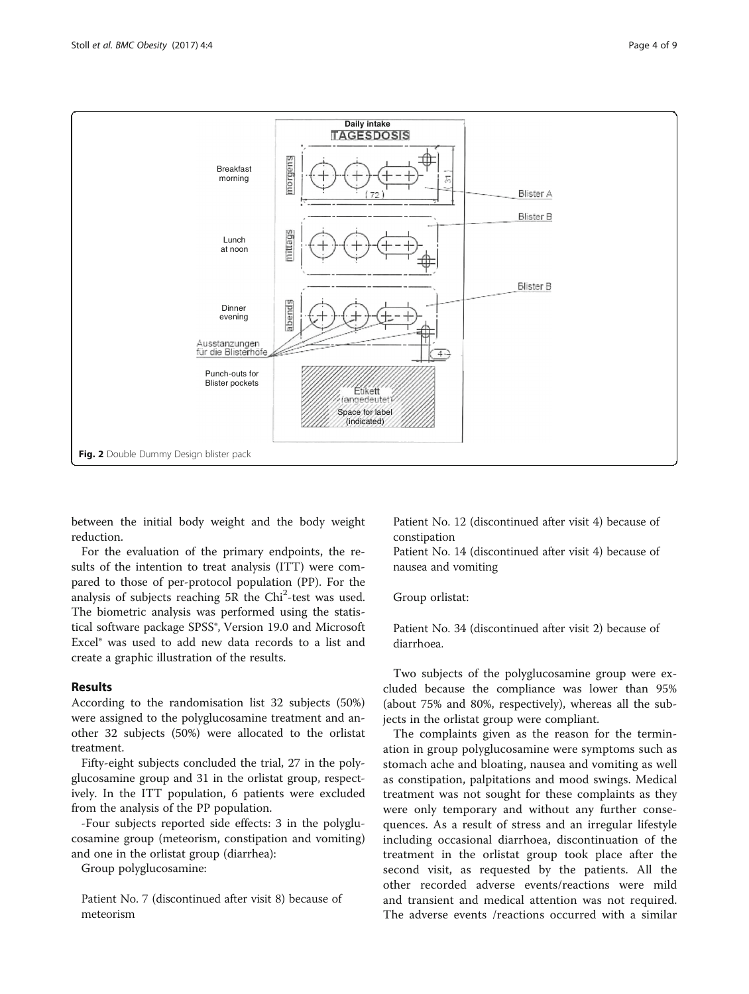<span id="page-3-0"></span>

between the initial body weight and the body weight reduction.

For the evaluation of the primary endpoints, the results of the intention to treat analysis (ITT) were compared to those of per-protocol population (PP). For the analysis of subjects reaching 5R the Chi<sup>2</sup>-test was used. The biometric analysis was performed using the statistical software package SPSS®, Version 19.0 and Microsoft Excel® was used to add new data records to a list and create a graphic illustration of the results.

# Results

According to the randomisation list 32 subjects (50%) were assigned to the polyglucosamine treatment and another 32 subjects (50%) were allocated to the orlistat treatment.

Fifty-eight subjects concluded the trial, 27 in the polyglucosamine group and 31 in the orlistat group, respectively. In the ITT population, 6 patients were excluded from the analysis of the PP population.

-Four subjects reported side effects: 3 in the polyglucosamine group (meteorism, constipation and vomiting) and one in the orlistat group (diarrhea):

Group polyglucosamine:

Patient No. 7 (discontinued after visit 8) because of meteorism

Patient No. 12 (discontinued after visit 4) because of constipation

Patient No. 14 (discontinued after visit 4) because of nausea and vomiting

Group orlistat:

Patient No. 34 (discontinued after visit 2) because of diarrhoea.

Two subjects of the polyglucosamine group were excluded because the compliance was lower than 95% (about 75% and 80%, respectively), whereas all the subjects in the orlistat group were compliant.

The complaints given as the reason for the termination in group polyglucosamine were symptoms such as stomach ache and bloating, nausea and vomiting as well as constipation, palpitations and mood swings. Medical treatment was not sought for these complaints as they were only temporary and without any further consequences. As a result of stress and an irregular lifestyle including occasional diarrhoea, discontinuation of the treatment in the orlistat group took place after the second visit, as requested by the patients. All the other recorded adverse events/reactions were mild and transient and medical attention was not required. The adverse events /reactions occurred with a similar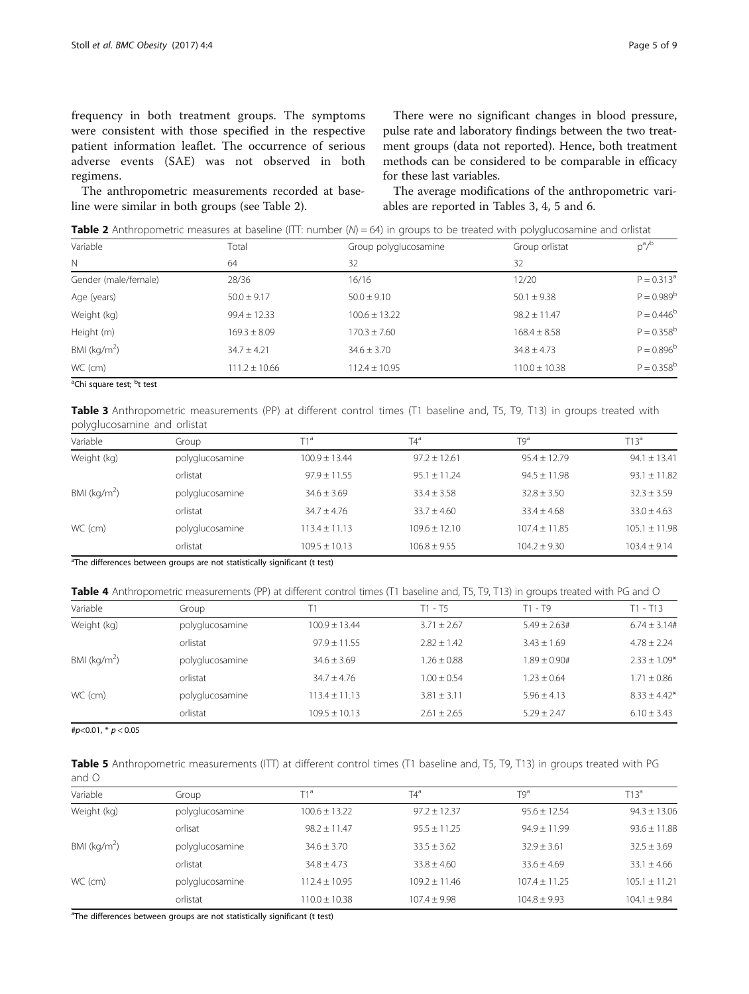<span id="page-4-0"></span>frequency in both treatment groups. The symptoms were consistent with those specified in the respective patient information leaflet. The occurrence of serious adverse events (SAE) was not observed in both regimens.

The anthropometric measurements recorded at baseline were similar in both groups (see Table 2).

There were no significant changes in blood pressure, pulse rate and laboratory findings between the two treatment groups (data not reported). Hence, both treatment methods can be considered to be comparable in efficacy for these last variables.

The average modifications of the anthropometric variables are reported in Tables 3, 4, 5 and [6.](#page-5-0)

**Table 2** Anthropometric measures at baseline (ITT: number  $(N) = 64$ ) in groups to be treated with polyglucosamine and orlistat

| Variable             | Total             | Group polyglucosamine | Group orlistat    | $p^a/b$         |
|----------------------|-------------------|-----------------------|-------------------|-----------------|
| $\mathbb N$          | 64                | 32                    | 32                |                 |
| Gender (male/female) | 28/36             | 16/16                 | 12/20             | $P = 0.313^a$   |
| Age (years)          | $50.0 \pm 9.17$   | $50.0 \pm 9.10$       | $50.1 \pm 9.38$   | $P = 0.989^b$   |
| Weight (kg)          | $99.4 \pm 12.33$  | $100.6 \pm 13.22$     | $98.2 \pm 11.47$  | $P = 0.446^b$   |
| Height (m)           | $169.3 \pm 8.09$  | $170.3 \pm 7.60$      | $168.4 \pm 8.58$  | $P = 0.358^{b}$ |
| BMI ( $kg/m2$ )      | $34.7 + 4.21$     | $34.6 \pm 3.70$       | $34.8 + 4.73$     | $P = 0.896^{b}$ |
| WC (cm)              | $111.2 \pm 10.66$ | $112.4 \pm 10.95$     | $110.0 \pm 10.38$ | $P = 0.358^{b}$ |

<sup>a</sup>Chi square test; <sup>b</sup>t test

Table 3 Anthropometric measurements (PP) at different control times (T1 baseline and, T5, T9, T13) in groups treated with polyglucosamine and orlistat

| Variable        | Group           | $T1^a$            | $T4^a$            | $T9^a$          | $T13^a$           |
|-----------------|-----------------|-------------------|-------------------|-----------------|-------------------|
| Weight (kg)     | polyglucosamine | $100.9 + 13.44$   | $97.2 + 12.61$    | $95.4 + 12.79$  | $94.1 \pm 13.41$  |
|                 | orlistat        | $97.9 + 11.55$    | $95.1 + 11.24$    | $94.5 + 11.98$  | $93.1 \pm 11.82$  |
| BMI ( $kg/m2$ ) | polyglucosamine | $34.6 + 3.69$     | $33.4 + 3.58$     | $32.8 \pm 3.50$ | $32.3 \pm 3.59$   |
|                 | orlistat        | $34.7 + 4.76$     | $33.7 + 4.60$     | $33.4 + 4.68$   | $33.0 + 4.63$     |
| WC (cm)         | polyglucosamine | $113.4 + 11.13$   | $109.6 \pm 12.10$ | $107.4 + 11.85$ | $105.1 \pm 11.98$ |
|                 | orlistat        | $109.5 \pm 10.13$ | $106.8 \pm 9.55$  | $104.2 + 9.30$  | $103.4 + 9.14$    |

<sup>a</sup>The differences between groups are not statistically significant (t test)

Table 4 Anthropometric measurements (PP) at different control times (T1 baseline and, T5, T9, T13) in groups treated with PG and O

| Variable        | Group           |                   | $T1 - T5$       | $T1 - T9$       | $T1 - T13$       |
|-----------------|-----------------|-------------------|-----------------|-----------------|------------------|
| Weight (kg)     | polyglucosamine | $100.9 + 13.44$   | $3.71 + 2.67$   | $5.49 + 2.63#$  | $6.74 + 3.14#$   |
|                 | orlistat        | $97.9 \pm 11.55$  | $2.82 + 1.42$   | $3.43 \pm 1.69$ | $4.78 \pm 2.24$  |
| BMI ( $kg/m2$ ) | polyglucosamine | $34.6 + 3.69$     | $1.26 \pm 0.88$ | $1.89 + 0.90#$  | $2.33 \pm 1.09*$ |
|                 | orlistat        | $34.7 + 4.76$     | $1.00 \pm 0.54$ | $1.23 + 0.64$   | $1.71 \pm 0.86$  |
| WC (cm)         | polyglucosamine | $113.4 + 11.13$   | $3.81 \pm 3.11$ | $5.96 + 4.13$   | $8.33 + 4.42*$   |
|                 | orlistat        | $109.5 \pm 10.13$ | $2.61 \pm 2.65$ | $5.29 \pm 2.47$ | $6.10 \pm 3.43$  |

# $p$ <0.01, \*  $p$  < 0.05

Table 5 Anthropometric measurements (ITT) at different control times (T1 baseline and, T5, T9, T13) in groups treated with PG and O

| Variable        | Group           | T1ª               | $T4^a$           | T9a              | $T13^a$          |
|-----------------|-----------------|-------------------|------------------|------------------|------------------|
| Weight (kg)     | polyglucosamine | $100.6 \pm 13.22$ | $97.2 \pm 12.37$ | $95.6 \pm 12.54$ | $94.3 \pm 13.06$ |
|                 | orlisat         | $98.2 \pm 11.47$  | $95.5 \pm 11.25$ | $94.9 \pm 11.99$ | $93.6 \pm 11.88$ |
| BMI ( $kg/m2$ ) | polyglucosamine | $34.6 \pm 3.70$   | $33.5 \pm 3.62$  | $32.9 \pm 3.61$  | $32.5 \pm 3.69$  |
|                 | orlistat        | $34.8 + 4.73$     | $33.8 \pm 4.60$  | $33.6 \pm 4.69$  | $33.1 \pm 4.66$  |
| WC (cm)         | polyglucosamine | $112.4 \pm 10.95$ | $109.2 + 11.46$  | $107.4 + 11.25$  | $105.1 + 11.21$  |
|                 | orlistat        | $110.0 \pm 10.38$ | $107.4 \pm 9.98$ | $104.8 \pm 9.93$ | $104.1 \pm 9.84$ |

<sup>a</sup>The differences between groups are not statistically significant (t test)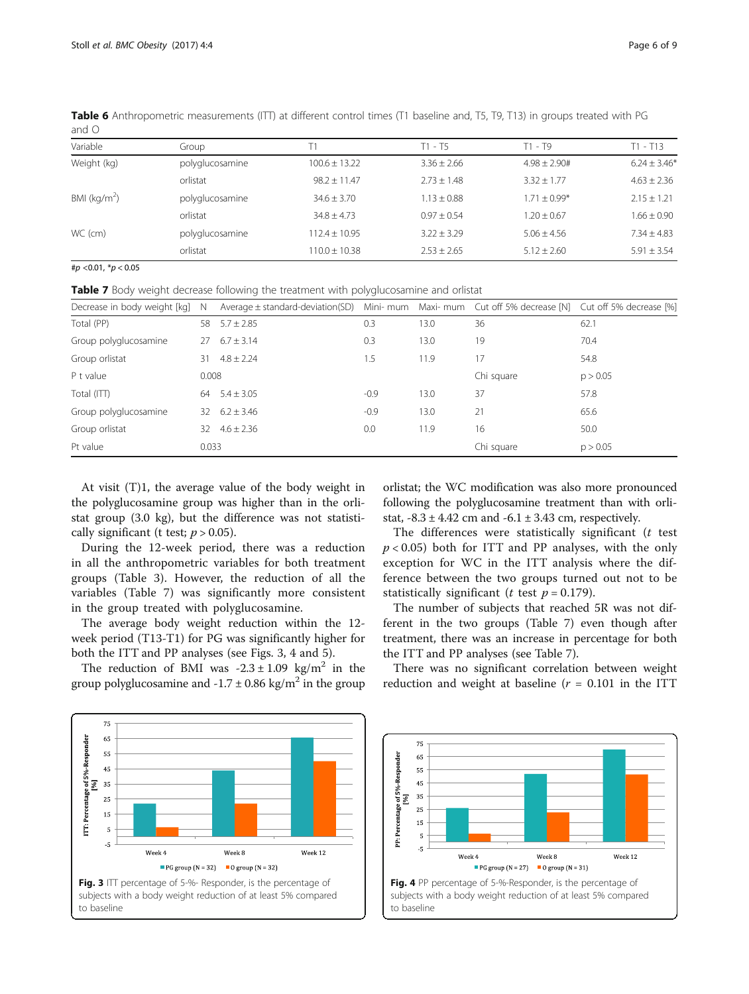| .               |                 |                   |                 |                   |                  |
|-----------------|-----------------|-------------------|-----------------|-------------------|------------------|
| Variable        | Group           |                   | T1 - T5         | $T1 - T9$         | $T1 - T13$       |
| Weight (kg)     | polyglucosamine | $100.6 \pm 13.22$ | $3.36 \pm 2.66$ | $4.98 \pm 2.90$ # | $6.24 \pm 3.46*$ |
|                 | orlistat        | $98.2 \pm 11.47$  | $2.73 \pm 1.48$ | $3.32 + 1.77$     | $4.63 \pm 2.36$  |
| BMI ( $kg/m2$ ) | polyglucosamine | $34.6 \pm 3.70$   | $1.13 \pm 0.88$ | $1.71 + 0.99*$    | $2.15 \pm 1.21$  |
|                 | orlistat        | $34.8 + 4.73$     | $0.97 + 0.54$   | $1.20 \pm 0.67$   | $1.66 \pm 0.90$  |
| WC (cm)         | polyglucosamine | $112.4 \pm 10.95$ | $3.22 \pm 3.29$ | $5.06 + 4.56$     | $7.34 + 4.83$    |
|                 | orlistat        | $110.0 \pm 10.38$ | $2.53 \pm 2.65$ | $5.12 \pm 2.60$   | $5.91 \pm 3.54$  |

<span id="page-5-0"></span>Table 6 Anthropometric measurements (ITT) at different control times (T1 baseline and, T5, T9, T13) in groups treated with PG and O

#p <0.01, \*p < 0.05

Table 7 Body weight decrease following the treatment with polyglucosamine and orlistat

| Decrease in body weight [kg] | - N   | Average ± standard-deviation(SD) Mini- mum Maxi- mum Cut off 5% decrease [N] Cut off 5% decrease [%] |        |      |            |          |
|------------------------------|-------|------------------------------------------------------------------------------------------------------|--------|------|------------|----------|
| Total (PP)                   | 58    | $5.7 \pm 2.85$                                                                                       | 0.3    | 13.0 | 36         | 62.1     |
| Group polyglucosamine        | 27    | $6.7 \pm 3.14$                                                                                       | 0.3    | 13.0 | 19         | 70.4     |
| Group orlistat               | 31    | $4.8 \pm 2.24$                                                                                       | 1.5    | 11.9 | 17         | 54.8     |
| P t value                    | 0.008 |                                                                                                      |        |      | Chi square | p > 0.05 |
| Total (ITT)                  | 64    | $5.4 \pm 3.05$                                                                                       | $-0.9$ | 13.0 | 37         | 57.8     |
| Group polyglucosamine        |       | $32 \quad 6.2 \pm 3.46$                                                                              | $-0.9$ | 13.0 | 21         | 65.6     |
| Group orlistat               | 32.   | $4.6 + 2.36$                                                                                         | 0.0    | 11.9 | 16         | 50.0     |
| Pt value                     | 0.033 |                                                                                                      |        |      | Chi square | p > 0.05 |

At visit (T)1, the average value of the body weight in the polyglucosamine group was higher than in the orlistat group (3.0 kg), but the difference was not statistically significant (t test;  $p > 0.05$ ).

During the 12-week period, there was a reduction in all the anthropometric variables for both treatment groups (Table [3](#page-4-0)). However, the reduction of all the variables (Table 7) was significantly more consistent in the group treated with polyglucosamine.

The average body weight reduction within the 12 week period (T13-T1) for PG was significantly higher for both the ITT and PP analyses (see Figs. 3, 4 and [5](#page-6-0)).

The reduction of BMI was  $-2.3 \pm 1.09$  kg/m<sup>2</sup> in the group polyglucosamine and  $-1.7 \pm 0.86$  kg/m<sup>2</sup> in the group

orlistat; the WC modification was also more pronounced following the polyglucosamine treatment than with orlistat,  $-8.3 \pm 4.42$  cm and  $-6.1 \pm 3.43$  cm, respectively.

The differences were statistically significant  $(t$  test  $p < 0.05$ ) both for ITT and PP analyses, with the only exception for WC in the ITT analysis where the difference between the two groups turned out not to be statistically significant (*t* test  $p = 0.179$ ).

The number of subjects that reached 5R was not different in the two groups (Table 7) even though after treatment, there was an increase in percentage for both the ITT and PP analyses (see Table 7).

There was no significant correlation between weight reduction and weight at baseline ( $r = 0.101$  in the ITT





to baseline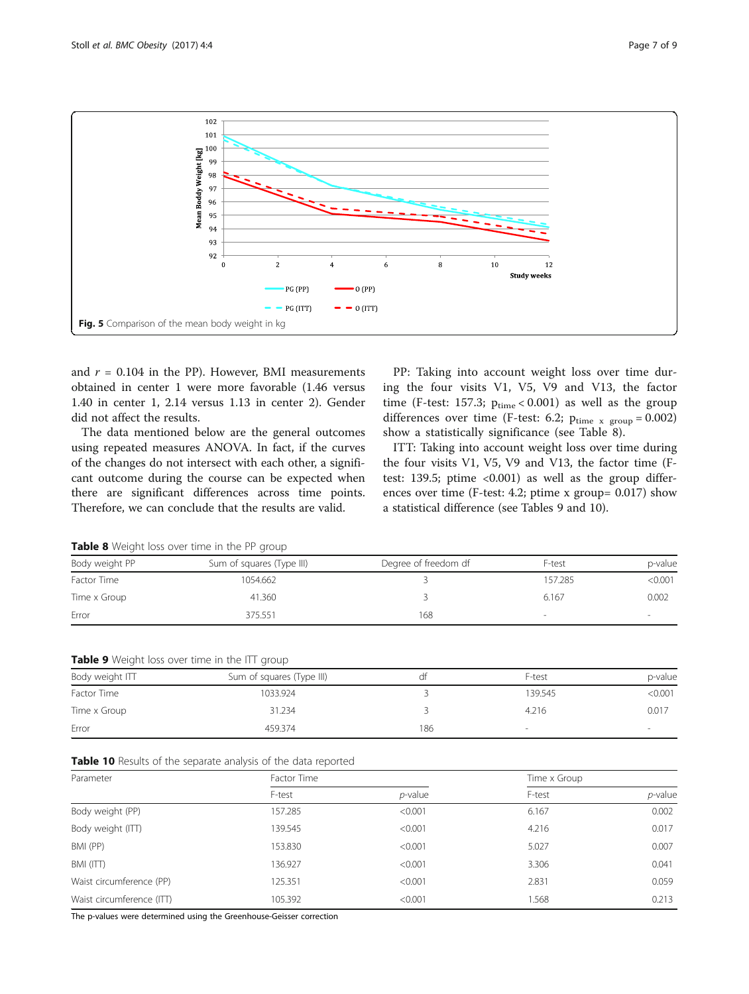<span id="page-6-0"></span>

and  $r = 0.104$  in the PP). However, BMI measurements obtained in center 1 were more favorable (1.46 versus 1.40 in center 1, 2.14 versus 1.13 in center 2). Gender did not affect the results.

The data mentioned below are the general outcomes using repeated measures ANOVA. In fact, if the curves of the changes do not intersect with each other, a significant outcome during the course can be expected when there are significant differences across time points. Therefore, we can conclude that the results are valid.

PP: Taking into account weight loss over time during the four visits V1, V5, V9 and V13, the factor time (F-test: 157.3;  $p_{time}$  < 0.001) as well as the group differences over time (F-test: 6.2;  $p_{time x group} = 0.002$ ) show a statistically significance (see Table 8).

ITT: Taking into account weight loss over time during the four visits V1, V5, V9 and V13, the factor time (Ftest: 139.5; ptime  $\langle 0.001 \rangle$  as well as the group differences over time (F-test: 4.2; ptime x group= 0.017) show a statistical difference (see Tables 9 and 10).

|  |  | Table 8 Weight loss over time in the PP group |  |  |  |  |
|--|--|-----------------------------------------------|--|--|--|--|
|--|--|-----------------------------------------------|--|--|--|--|

| Body weight PP | Sum of squares (Type III) | Degree of freedom df | F-test  | p-value |
|----------------|---------------------------|----------------------|---------|---------|
| Factor Time    | 1054.662                  |                      | 157.285 | < 0.001 |
| Time x Group   | 41.360                    |                      | 6.167   | 0.002   |
| Error          | 375.551                   | 168                  |         |         |

|  | Table 9 Weight loss over time in the ITT group |  |  |  |  |  |  |
|--|------------------------------------------------|--|--|--|--|--|--|
|--|------------------------------------------------|--|--|--|--|--|--|

| Body weight ITT | Sum of squares (Type III) | αt  | F-test  | p-value |
|-----------------|---------------------------|-----|---------|---------|
| Factor Time     | 1033.924                  |     | 139.545 | < 0.001 |
| Time x Group    | 31.234                    |     | 4.216   | 0.017   |
| Error           | 459.374                   | 186 |         |         |

| Parameter                 | Factor Time |            | Time x Group |            |
|---------------------------|-------------|------------|--------------|------------|
|                           | F-test      | $p$ -value | F-test       | $p$ -value |
| Body weight (PP)          | 157.285     | < 0.001    | 6.167        | 0.002      |
| Body weight (ITT)         | 139.545     | < 0.001    | 4.216        | 0.017      |
| BMI (PP)                  | 153.830     | < 0.001    | 5.027        | 0.007      |
| BMI (ITT)                 | 136.927     | < 0.001    | 3.306        | 0.041      |
| Waist circumference (PP)  | 125.351     | < 0.001    | 2.831        | 0.059      |
| Waist circumference (ITT) | 105.392     | < 0.001    | .568         | 0.213      |

The p-values were determined using the Greenhouse-Geisser correction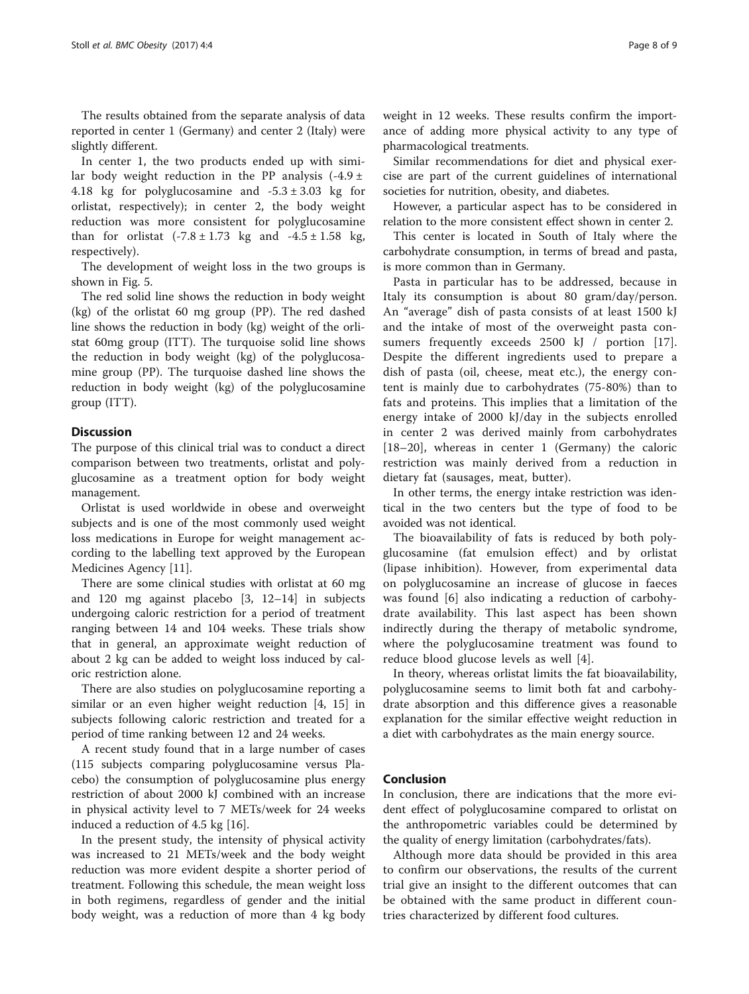The results obtained from the separate analysis of data reported in center 1 (Germany) and center 2 (Italy) were slightly different.

In center 1, the two products ended up with similar body weight reduction in the PP analysis  $(-4.9 \pm 1)$ 4.18 kg for polyglucosamine and  $-5.3 \pm 3.03$  kg for orlistat, respectively); in center 2, the body weight reduction was more consistent for polyglucosamine than for orlistat  $(-7.8 \pm 1.73 \text{ kg and } -4.5 \pm 1.58 \text{ kg})$ respectively).

The development of weight loss in the two groups is shown in Fig. [5](#page-6-0).

The red solid line shows the reduction in body weight (kg) of the orlistat 60 mg group (PP). The red dashed line shows the reduction in body (kg) weight of the orlistat 60mg group (ITT). The turquoise solid line shows the reduction in body weight (kg) of the polyglucosamine group (PP). The turquoise dashed line shows the reduction in body weight (kg) of the polyglucosamine group (ITT).

# **Discussion**

The purpose of this clinical trial was to conduct a direct comparison between two treatments, orlistat and polyglucosamine as a treatment option for body weight management.

Orlistat is used worldwide in obese and overweight subjects and is one of the most commonly used weight loss medications in Europe for weight management according to the labelling text approved by the European Medicines Agency [[11\]](#page-8-0).

There are some clinical studies with orlistat at 60 mg and 120 mg against placebo [[3, 12](#page-8-0)–[14\]](#page-8-0) in subjects undergoing caloric restriction for a period of treatment ranging between 14 and 104 weeks. These trials show that in general, an approximate weight reduction of about 2 kg can be added to weight loss induced by caloric restriction alone.

There are also studies on polyglucosamine reporting a similar or an even higher weight reduction [\[4](#page-8-0), [15](#page-8-0)] in subjects following caloric restriction and treated for a period of time ranking between 12 and 24 weeks.

A recent study found that in a large number of cases (115 subjects comparing polyglucosamine versus Placebo) the consumption of polyglucosamine plus energy restriction of about 2000 kJ combined with an increase in physical activity level to 7 METs/week for 24 weeks induced a reduction of 4.5 kg [\[16](#page-8-0)].

In the present study, the intensity of physical activity was increased to 21 METs/week and the body weight reduction was more evident despite a shorter period of treatment. Following this schedule, the mean weight loss in both regimens, regardless of gender and the initial body weight, was a reduction of more than 4 kg body

weight in 12 weeks. These results confirm the importance of adding more physical activity to any type of pharmacological treatments.

Similar recommendations for diet and physical exercise are part of the current guidelines of international societies for nutrition, obesity, and diabetes.

However, a particular aspect has to be considered in relation to the more consistent effect shown in center 2.

This center is located in South of Italy where the carbohydrate consumption, in terms of bread and pasta, is more common than in Germany.

Pasta in particular has to be addressed, because in Italy its consumption is about 80 gram/day/person. An "average" dish of pasta consists of at least 1500 kJ and the intake of most of the overweight pasta con-sumers frequently exceeds 2500 kJ / portion [\[17](#page-8-0)]. Despite the different ingredients used to prepare a dish of pasta (oil, cheese, meat etc.), the energy content is mainly due to carbohydrates (75-80%) than to fats and proteins. This implies that a limitation of the energy intake of 2000 kJ/day in the subjects enrolled in center 2 was derived mainly from carbohydrates [[18](#page-8-0)–[20\]](#page-8-0), whereas in center 1 (Germany) the caloric restriction was mainly derived from a reduction in dietary fat (sausages, meat, butter).

In other terms, the energy intake restriction was identical in the two centers but the type of food to be avoided was not identical.

The bioavailability of fats is reduced by both polyglucosamine (fat emulsion effect) and by orlistat (lipase inhibition). However, from experimental data on polyglucosamine an increase of glucose in faeces was found [[6\]](#page-8-0) also indicating a reduction of carbohydrate availability. This last aspect has been shown indirectly during the therapy of metabolic syndrome, where the polyglucosamine treatment was found to reduce blood glucose levels as well [[4\]](#page-8-0).

In theory, whereas orlistat limits the fat bioavailability, polyglucosamine seems to limit both fat and carbohydrate absorption and this difference gives a reasonable explanation for the similar effective weight reduction in a diet with carbohydrates as the main energy source.

## Conclusion

In conclusion, there are indications that the more evident effect of polyglucosamine compared to orlistat on the anthropometric variables could be determined by the quality of energy limitation (carbohydrates/fats).

Although more data should be provided in this area to confirm our observations, the results of the current trial give an insight to the different outcomes that can be obtained with the same product in different countries characterized by different food cultures.